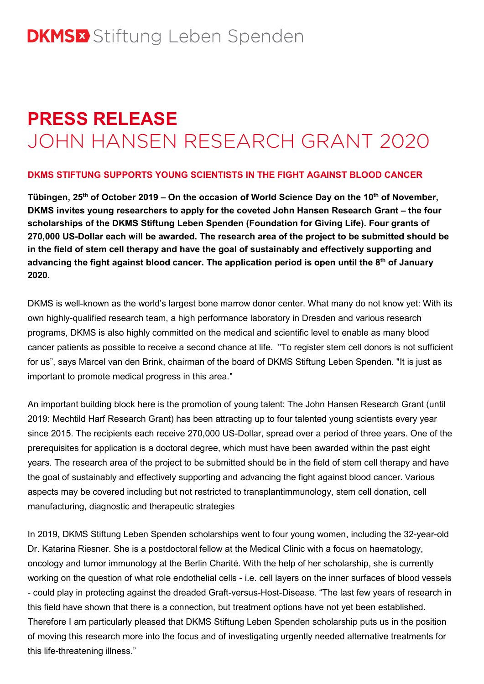# **PRESS RELEASE** JOHN HANSEN RESEARCH GRANT 2020

## **DKMS STIFTUNG SUPPORTS YOUNG SCIENTISTS IN THE FIGHT AGAINST BLOOD CANCER**

**Tübingen, 25th of October 2019 – On the occasion of World Science Day on the 10th of November, DKMS invites young researchers to apply for the coveted John Hansen Research Grant – the four scholarships of the DKMS Stiftung Leben Spenden (Foundation for Giving Life). Four grants of 270,000 US-Dollar each will be awarded. The research area of the project to be submitted should be in the field of stem cell therapy and have the goal of sustainably and effectively supporting and advancing the fight against blood cancer. The application period is open until the 8th of January 2020.**

DKMS is well-known as the world's largest bone marrow donor center. What many do not know yet: With its own highly-qualified research team, a high performance laboratory in Dresden and various research programs, DKMS is also highly committed on the medical and scientific level to enable as many blood cancer patients as possible to receive a second chance at life. "To register stem cell donors is not sufficient for us", says Marcel van den Brink, chairman of the board of DKMS Stiftung Leben Spenden. "It is just as important to promote medical progress in this area."

An important building block here is the promotion of young talent: The John Hansen Research Grant (until 2019: Mechtild Harf Research Grant) has been attracting up to four talented young scientists every year since 2015. The recipients each receive 270,000 US-Dollar, spread over a period of three years. One of the prerequisites for application is a doctoral degree, which must have been awarded within the past eight years. The research area of the project to be submitted should be in the field of stem cell therapy and have the goal of sustainably and effectively supporting and advancing the fight against blood cancer. Various aspects may be covered including but not restricted to transplantimmunology, stem cell donation, cell manufacturing, diagnostic and therapeutic strategies

In 2019, DKMS Stiftung Leben Spenden scholarships went to four young women, including the 32-year-old Dr. Katarina Riesner. She is a postdoctoral fellow at the Medical Clinic with a focus on haematology, oncology and tumor immunology at the Berlin Charité. With the help of her scholarship, she is currently working on the question of what role endothelial cells - i.e. cell layers on the inner surfaces of blood vessels - could play in protecting against the dreaded Graft-versus-Host-Disease. "The last few years of research in this field have shown that there is a connection, but treatment options have not yet been established. Therefore I am particularly pleased that DKMS Stiftung Leben Spenden scholarship puts us in the position of moving this research more into the focus and of investigating urgently needed alternative treatments for this life-threatening illness."